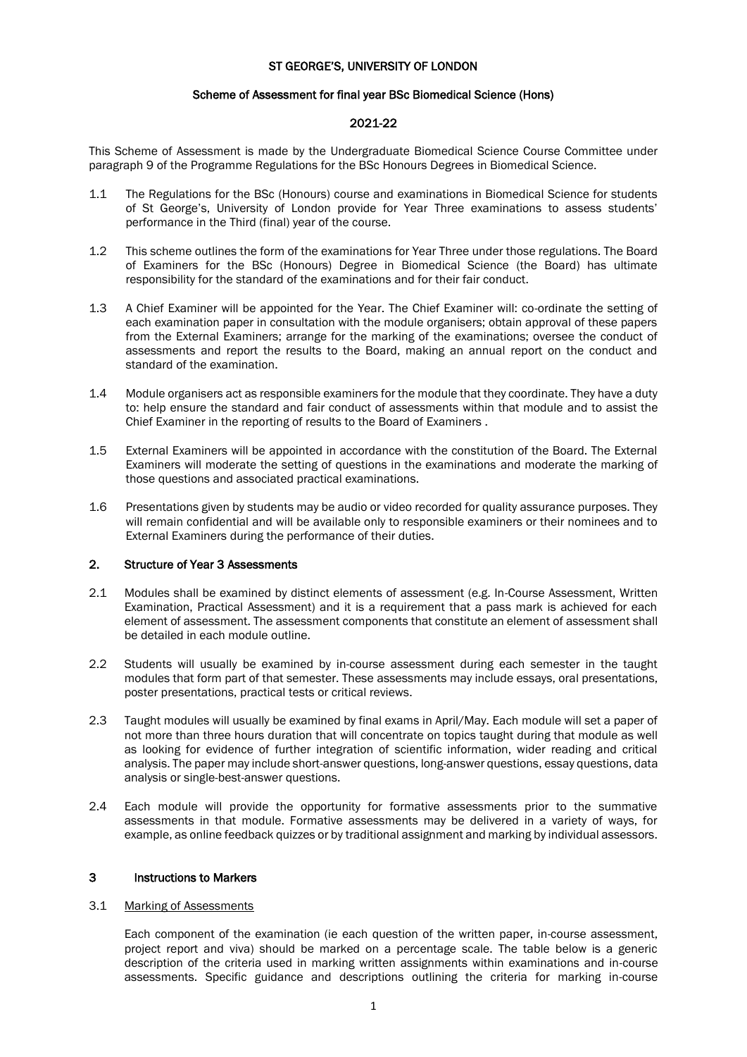### ST GEORGE'S, UNIVERSITY OF LONDON

#### Scheme of Assessment for final year BSc Biomedical Science (Hons)

# 2021-22

This Scheme of Assessment is made by the Undergraduate Biomedical Science Course Committee under paragraph 9 of the Programme Regulations for the BSc Honours Degrees in Biomedical Science.

- 1.1 The Regulations for the BSc (Honours) course and examinations in Biomedical Science for students of St George's, University of London provide for Year Three examinations to assess students' performance in the Third (final) year of the course.
- 1.2 This scheme outlines the form of the examinations for Year Three under those regulations. The Board of Examiners for the BSc (Honours) Degree in Biomedical Science (the Board) has ultimate responsibility for the standard of the examinations and for their fair conduct.
- 1.3 A Chief Examiner will be appointed for the Year. The Chief Examiner will: co-ordinate the setting of each examination paper in consultation with the module organisers; obtain approval of these papers from the External Examiners; arrange for the marking of the examinations; oversee the conduct of assessments and report the results to the Board, making an annual report on the conduct and standard of the examination.
- 1.4 Module organisers act as responsible examiners for the module that they coordinate. They have a duty to: help ensure the standard and fair conduct of assessments within that module and to assist the Chief Examiner in the reporting of results to the Board of Examiners .
- 1.5 External Examiners will be appointed in accordance with the constitution of the Board. The External Examiners will moderate the setting of questions in the examinations and moderate the marking of those questions and associated practical examinations.
- 1.6 Presentations given by students may be audio or video recorded for quality assurance purposes. They will remain confidential and will be available only to responsible examiners or their nominees and to External Examiners during the performance of their duties.

# 2. Structure of Year 3 Assessments

- 2.1 Modules shall be examined by distinct elements of assessment (e.g. In-Course Assessment, Written Examination, Practical Assessment) and it is a requirement that a pass mark is achieved for each element of assessment. The assessment components that constitute an element of assessment shall be detailed in each module outline.
- 2.2 Students will usually be examined by in-course assessment during each semester in the taught modules that form part of that semester. These assessments may include essays, oral presentations, poster presentations, practical tests or critical reviews.
- 2.3 Taught modules will usually be examined by final exams in April/May. Each module will set a paper of not more than three hours duration that will concentrate on topics taught during that module as well as looking for evidence of further integration of scientific information, wider reading and critical analysis. The paper may include short-answer questions, long-answer questions, essay questions, data analysis or single-best-answer questions.
- 2.4 Each module will provide the opportunity for formative assessments prior to the summative assessments in that module. Formative assessments may be delivered in a variety of ways, for example, as online feedback quizzes or by traditional assignment and marking by individual assessors.

# 3 Instructions to Markers

#### 3.1 Marking of Assessments

Each component of the examination (ie each question of the written paper, in-course assessment, project report and viva) should be marked on a percentage scale. The table below is a generic description of the criteria used in marking written assignments within examinations and in-course assessments. Specific guidance and descriptions outlining the criteria for marking in-course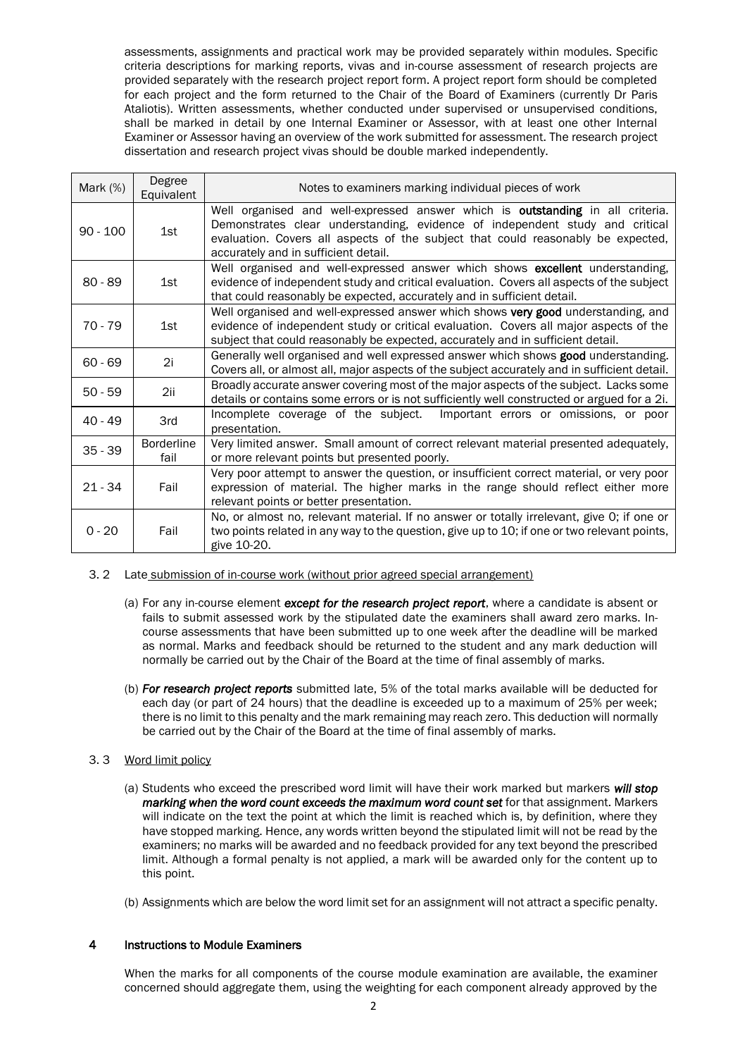assessments, assignments and practical work may be provided separately within modules. Specific criteria descriptions for marking reports, vivas and in-course assessment of research projects are provided separately with the research project report form. A project report form should be completed for each project and the form returned to the Chair of the Board of Examiners (currently Dr Paris Ataliotis). Written assessments, whether conducted under supervised or unsupervised conditions, shall be marked in detail by one Internal Examiner or Assessor, with at least one other Internal Examiner or Assessor having an overview of the work submitted for assessment. The research project dissertation and research project vivas should be double marked independently.

| Mark $(%)$ | Degree<br>Equivalent      | Notes to examiners marking individual pieces of work                                                                                                                                                                                                                                       |  |  |
|------------|---------------------------|--------------------------------------------------------------------------------------------------------------------------------------------------------------------------------------------------------------------------------------------------------------------------------------------|--|--|
| $90 - 100$ | 1st                       | Well organised and well-expressed answer which is outstanding in all criteria.<br>Demonstrates clear understanding, evidence of independent study and critical<br>evaluation. Covers all aspects of the subject that could reasonably be expected,<br>accurately and in sufficient detail. |  |  |
| $80 - 89$  | 1st                       | Well organised and well-expressed answer which shows excellent understanding,<br>evidence of independent study and critical evaluation. Covers all aspects of the subject<br>that could reasonably be expected, accurately and in sufficient detail.                                       |  |  |
| 70 - 79    | 1st                       | Well organised and well-expressed answer which shows very good understanding, and<br>evidence of independent study or critical evaluation. Covers all major aspects of the<br>subject that could reasonably be expected, accurately and in sufficient detail.                              |  |  |
| $60 - 69$  | 2i                        | Generally well organised and well expressed answer which shows good understanding.<br>Covers all, or almost all, major aspects of the subject accurately and in sufficient detail.                                                                                                         |  |  |
| $50 - 59$  | 2ii                       | Broadly accurate answer covering most of the major aspects of the subject. Lacks some<br>details or contains some errors or is not sufficiently well constructed or argued for a 2i.                                                                                                       |  |  |
| $40 - 49$  | 3rd                       | Incomplete coverage of the subject.<br>Important errors or omissions, or poor<br>presentation.                                                                                                                                                                                             |  |  |
| $35 - 39$  | <b>Borderline</b><br>fail | Very limited answer. Small amount of correct relevant material presented adequately,<br>or more relevant points but presented poorly.                                                                                                                                                      |  |  |
| $21 - 34$  | Fail                      | Very poor attempt to answer the question, or insufficient correct material, or very poor<br>expression of material. The higher marks in the range should reflect either more<br>relevant points or better presentation.                                                                    |  |  |
| $0 - 20$   | Fail                      | No, or almost no, relevant material. If no answer or totally irrelevant, give O; if one or<br>two points related in any way to the question, give up to 10; if one or two relevant points,<br>give 10-20.                                                                                  |  |  |

- 3. 2 Late submission of in-course work (without prior agreed special arrangement)
	- (a) For any in-course element *except for the research project report*, where a candidate is absent or fails to submit assessed work by the stipulated date the examiners shall award zero marks. Incourse assessments that have been submitted up to one week after the deadline will be marked as normal. Marks and feedback should be returned to the student and any mark deduction will normally be carried out by the Chair of the Board at the time of final assembly of marks.
	- (b) *For research project reports* submitted late, 5% of the total marks available will be deducted for each day (or part of 24 hours) that the deadline is exceeded up to a maximum of 25% per week; there is no limit to this penalty and the mark remaining may reach zero. This deduction will normally be carried out by the Chair of the Board at the time of final assembly of marks.
- 3. 3 Word limit policy
	- (a) Students who exceed the prescribed word limit will have their work marked but markers *will stop marking when the word count exceeds the maximum word count set* for that assignment. Markers will indicate on the text the point at which the limit is reached which is, by definition, where they have stopped marking. Hence, any words written beyond the stipulated limit will not be read by the examiners; no marks will be awarded and no feedback provided for any text beyond the prescribed limit. Although a formal penalty is not applied, a mark will be awarded only for the content up to this point.
	- (b) Assignments which are below the word limit set for an assignment will not attract a specific penalty.

# 4 Instructions to Module Examiners

When the marks for all components of the course module examination are available, the examiner concerned should aggregate them, using the weighting for each component already approved by the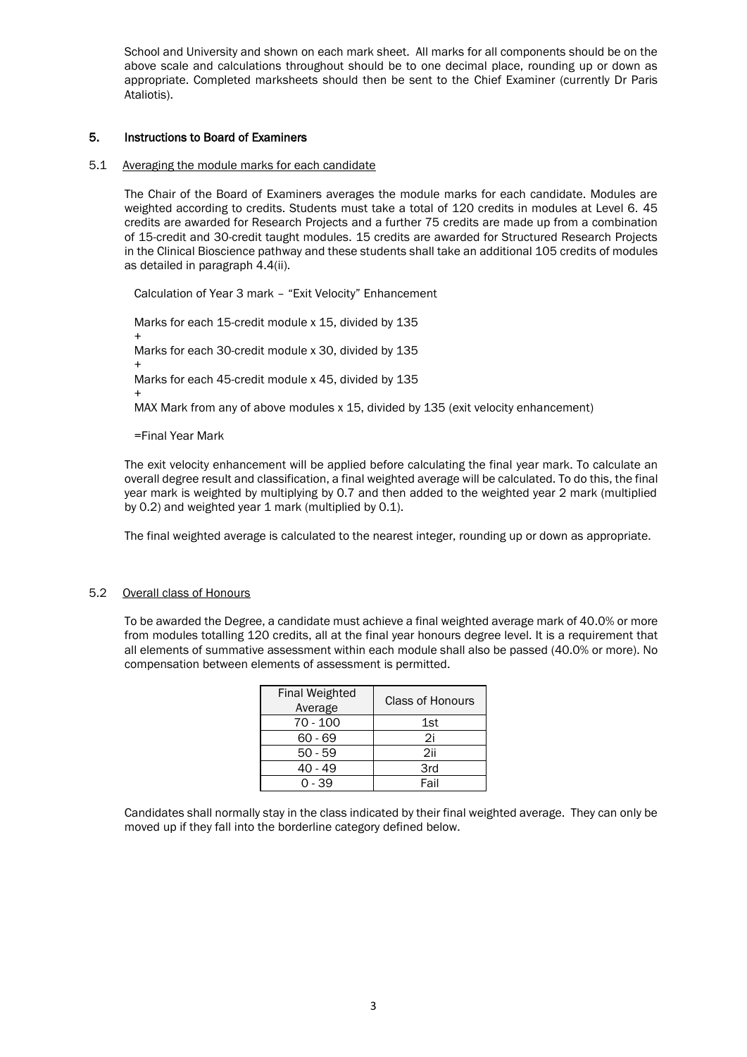School and University and shown on each mark sheet. All marks for all components should be on the above scale and calculations throughout should be to one decimal place, rounding up or down as appropriate. Completed marksheets should then be sent to the Chief Examiner (currently Dr Paris Ataliotis).

# 5. Instructions to Board of Examiners

### 5.1 Averaging the module marks for each candidate

The Chair of the Board of Examiners averages the module marks for each candidate. Modules are weighted according to credits. Students must take a total of 120 credits in modules at Level 6. 45 credits are awarded for Research Projects and a further 75 credits are made up from a combination of 15-credit and 30-credit taught modules. 15 credits are awarded for Structured Research Projects in the Clinical Bioscience pathway and these students shall take an additional 105 credits of modules as detailed in paragraph 4.4(ii).

Calculation of Year 3 mark – "Exit Velocity" Enhancement

Marks for each 15-credit module x 15, divided by 135 + Marks for each 30-credit module x 30, divided by 135 + Marks for each 45-credit module x 45, divided by 135 + MAX Mark from any of above modules x 15, divided by 135 (exit velocity enhancement)

=Final Year Mark

The exit velocity enhancement will be applied before calculating the final year mark. To calculate an overall degree result and classification, a final weighted average will be calculated. To do this, the final year mark is weighted by multiplying by 0.7 and then added to the weighted year 2 mark (multiplied by 0.2) and weighted year 1 mark (multiplied by 0.1).

The final weighted average is calculated to the nearest integer, rounding up or down as appropriate.

# 5.2 Overall class of Honours

To be awarded the Degree, a candidate must achieve a final weighted average mark of 40.0% or more from modules totalling 120 credits, all at the final year honours degree level. It is a requirement that all elements of summative assessment within each module shall also be passed (40.0% or more). No compensation between elements of assessment is permitted.

| <b>Final Weighted</b><br>Average | Class of Honours |
|----------------------------------|------------------|
| 70 - 100                         | 1st              |
| 60 - 69                          | 2i               |
| $50 - 59$                        | 2ii              |
| 40 - 49                          | 3rd              |
| ೧ - 39                           | Fail             |

Candidates shall normally stay in the class indicated by their final weighted average. They can only be moved up if they fall into the borderline category defined below.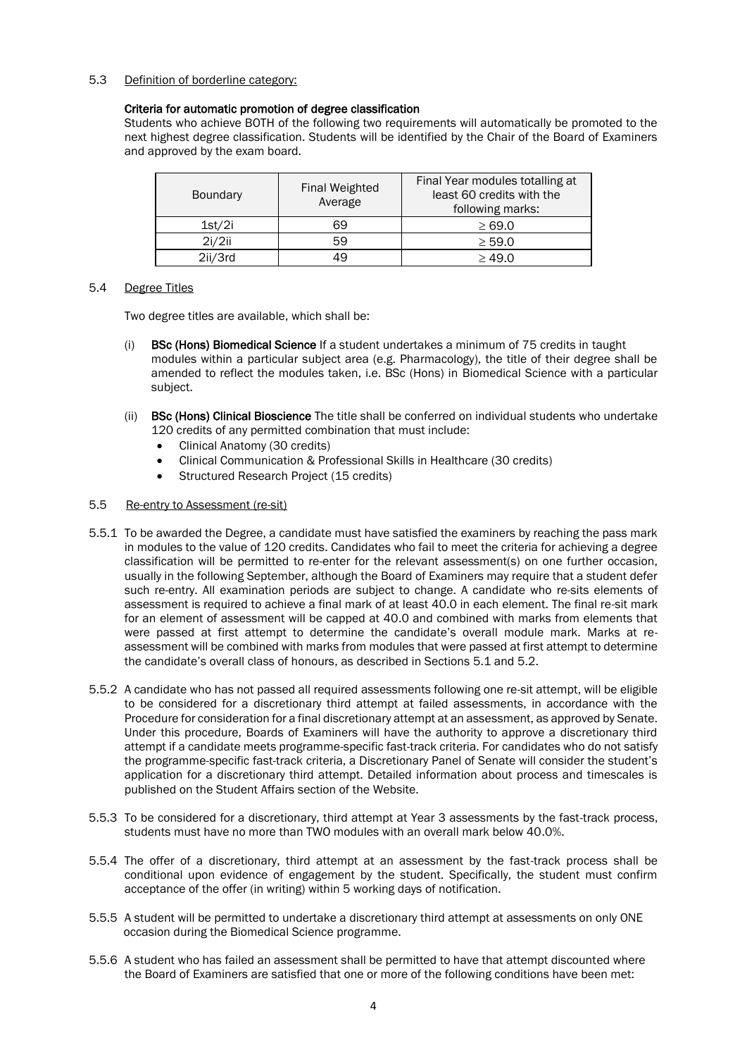5.3 Definition of borderline category:

# Criteria for automatic promotion of degree classification

Students who achieve BOTH of the following two requirements will automatically be promoted to the next highest degree classification. Students will be identified by the Chair of the Board of Examiners and approved by the exam board.

| <b>Boundary</b> | <b>Final Weighted</b><br>Average | Final Year modules totalling at<br>least 60 credits with the<br>following marks: |
|-----------------|----------------------------------|----------------------------------------------------------------------------------|
| 1st/2i          | 69                               | $\geq 69.0$                                                                      |
| 2i/2ii          | 59                               | > 59.0                                                                           |
| 2ii/3rd         | 49                               | > 49.0                                                                           |

# 5.4 Degree Titles

Two degree titles are available, which shall be:

- (i) BSc (Hons) Biomedical Science If a student undertakes a minimum of 75 credits in taught modules within a particular subject area (e.g. Pharmacology), the title of their degree shall be amended to reflect the modules taken, i.e. BSc (Hons) in Biomedical Science with a particular subject.
- (ii) BSc (Hons) Clinical Bioscience The title shall be conferred on individual students who undertake 120 credits of any permitted combination that must include:
	- Clinical Anatomy (30 credits)
	- Clinical Communication & Professional Skills in Healthcare (30 credits)
	- Structured Research Project (15 credits)

# 5.5 Re-entry to Assessment (re-sit)

- 5.5.1 To be awarded the Degree, a candidate must have satisfied the examiners by reaching the pass mark in modules to the value of 120 credits. Candidates who fail to meet the criteria for achieving a degree classification will be permitted to re-enter for the relevant assessment(s) on one further occasion, usually in the following September, although the Board of Examiners may require that a student defer such re-entry. All examination periods are subject to change. A candidate who re-sits elements of assessment is required to achieve a final mark of at least 40.0 in each element. The final re-sit mark for an element of assessment will be capped at 40.0 and combined with marks from elements that were passed at first attempt to determine the candidate's overall module mark. Marks at reassessment will be combined with marks from modules that were passed at first attempt to determine the candidate's overall class of honours, as described in Sections 5.1 and 5.2.
- 5.5.2 A candidate who has not passed all required assessments following one re-sit attempt, will be eligible to be considered for a discretionary third attempt at failed assessments, in accordance with the Procedure for consideration for a final discretionary attempt at an assessment, as approved by Senate. Under this procedure, Boards of Examiners will have the authority to approve a discretionary third attempt if a candidate meets programme-specific fast-track criteria. For candidates who do not satisfy the programme-specific fast-track criteria, a Discretionary Panel of Senate will consider the student's application for a discretionary third attempt. Detailed information about process and timescales is published on the Student Affairs section of the Website.
- 5.5.3 To be considered for a discretionary, third attempt at Year 3 assessments by the fast-track process, students must have no more than TWO modules with an overall mark below 40.0%.
- 5.5.4 The offer of a discretionary, third attempt at an assessment by the fast-track process shall be conditional upon evidence of engagement by the student. Specifically, the student must confirm acceptance of the offer (in writing) within 5 working days of notification.
- 5.5.5 A student will be permitted to undertake a discretionary third attempt at assessments on only ONE occasion during the Biomedical Science programme.
- 5.5.6 A student who has failed an assessment shall be permitted to have that attempt discounted where the Board of Examiners are satisfied that one or more of the following conditions have been met: